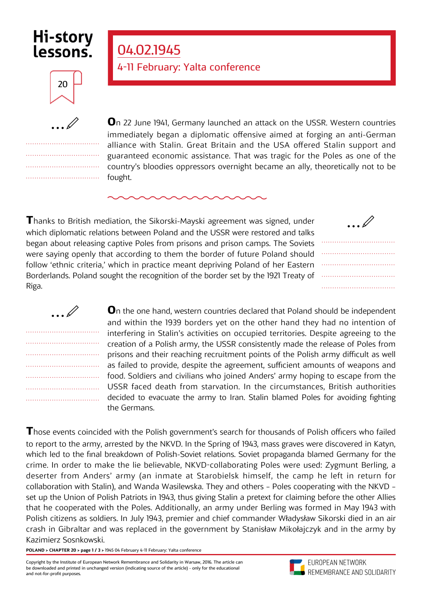## **Hi-story** lessons.

## 20

.................................. .................................. .................................. .................................. **O**n 22 June 1941, Germany launched an attack on the USSR. Western countries immediately began a diplomatic offensive aimed at forging an anti-German alliance with Stalin. Great Britain and the USA offered Stalin support and guaranteed economic assistance. That was tragic for the Poles as one of the country's bloodies oppressors overnight became an ally, theoretically not to be fought.

**T**hanks to British mediation, the Sikorski-Mayski agreement was signed, under which diplomatic relations between Poland and the USSR were restored and talks began about releasing captive Poles from prisons and prison camps. The Soviets were saying openly that according to them the border of future Poland should follow 'ethnic criteria,' which in practice meant depriving Poland of her Eastern Borderlands. Poland sought the recognition of the border set by the 1921 Treaty of Riga.

04.02.1945

411 February: Yalta conference

|  |  |  |  |  |  |  |  |  | $\ldots \mathbb{Z}$ |  |  |  |  |  |  |  |  |
|--|--|--|--|--|--|--|--|--|---------------------|--|--|--|--|--|--|--|--|
|  |  |  |  |  |  |  |  |  |                     |  |  |  |  |  |  |  |  |
|  |  |  |  |  |  |  |  |  |                     |  |  |  |  |  |  |  |  |
|  |  |  |  |  |  |  |  |  |                     |  |  |  |  |  |  |  |  |
|  |  |  |  |  |  |  |  |  |                     |  |  |  |  |  |  |  |  |
|  |  |  |  |  |  |  |  |  |                     |  |  |  |  |  |  |  |  |
|  |  |  |  |  |  |  |  |  |                     |  |  |  |  |  |  |  |  |

| $\ldots \mathbb{Z}$ |  |  |  |  |  |  |  |
|---------------------|--|--|--|--|--|--|--|
|                     |  |  |  |  |  |  |  |
|                     |  |  |  |  |  |  |  |
|                     |  |  |  |  |  |  |  |
|                     |  |  |  |  |  |  |  |
|                     |  |  |  |  |  |  |  |
|                     |  |  |  |  |  |  |  |
|                     |  |  |  |  |  |  |  |

**O**n the one hand, western countries declared that Poland should be independent and within the 1939 borders yet on the other hand they had no intention of interfering in Stalin's activities on occupied territories. Despite agreeing to the creation of a Polish army, the USSR consistently made the release of Poles from prisons and their reaching recruitment points of the Polish army difficult as well as failed to provide, despite the agreement, sufficient amounts of weapons and food. Soldiers and civilians who joined Anders' army hoping to escape from the USSR faced death from starvation. In the circumstances, British authorities decided to evacuate the army to Iran. Stalin blamed Poles for avoiding fighting the Germans.

**Those events coincided with the Polish government's search for thousands of Polish officers who failed** to report to the army, arrested by the NKVD. In the Spring of 1943, mass graves were discovered in Katyn, which led to the final breakdown of Polish-Soviet relations. Soviet propaganda blamed Germany for the crime. In order to make the lie believable, NKVD-collaborating Poles were used: Zygmunt Berling, a deserter from Anders' army (an inmate at Starobielsk himself, the camp he left in return for collaboration with Stalin), and Wanda Wasilewska. They and others – Poles cooperating with the NKVD – set up the Union of Polish Patriots in 1943, thus giving Stalin a pretext for claiming before the other Allies that he cooperated with the Poles. Additionally, an army under Berling was formed in May 1943 with Polish citizens as soldiers. In July 1943, premier and chief commander Władysław Sikorski died in an air crash in Gibraltar and was replaced in the government by Stanisław Mikołajczyk and in the army by Kazimierz Sosnkowski.

**POLAND > CHAPTER 20 > page 1 / 3 >** 1945 04 February 411 February: Yalta conference

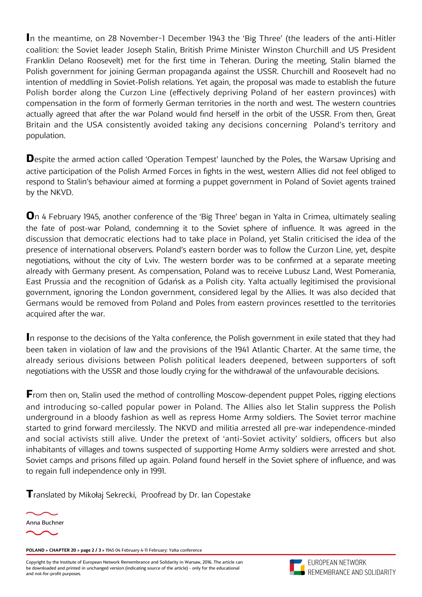In the meantime, on 28 November-1 December 1943 the 'Big Three' (the leaders of the anti-Hitler coalition: the Soviet leader Joseph Stalin, British Prime Minister Winston Churchill and US President Franklin Delano Roosevelt) met for the first time in Teheran. During the meeting, Stalin blamed the Polish government for joining German propaganda against the USSR. Churchill and Roosevelt had no intention of meddling in Soviet-Polish relations. Yet again, the proposal was made to establish the future Polish border along the Curzon Line (effectively depriving Poland of her eastern provinces) with compensation in the form of formerly German territories in the north and west. The western countries actually agreed that after the war Poland would find herself in the orbit of the USSR. From then, Great Britain and the USA consistently avoided taking any decisions concerning Poland's territory and population.

**D**espite the armed action called 'Operation Tempest' launched by the Poles, the Warsaw Uprising and active participation of the Polish Armed Forces in fights in the west, western Allies did not feel obliged to respond to Stalin's behaviour aimed at forming a puppet government in Poland of Soviet agents trained by the NKVD.

**O**n 4 February 1945, another conference of the 'Big Three' began in Yalta in Crimea, ultimately sealing the fate of post-war Poland, condemning it to the Soviet sphere of influence. It was agreed in the discussion that democratic elections had to take place in Poland, yet Stalin criticised the idea of the presence of international observers. Poland's eastern border was to follow the Curzon Line, yet, despite negotiations, without the city of Lviv. The western border was to be confirmed at a separate meeting already with Germany present. As compensation, Poland was to receive Lubusz Land, West Pomerania, East Prussia and the recognition of Gdańsk as a Polish city. Yalta actually legitimised the provisional government, ignoring the London government, considered legal by the Allies. It was also decided that Germans would be removed from Poland and Poles from eastern provinces resettled to the territories acquired after the war.

**I**n response to the decisions of the Yalta conference, the Polish government in exile stated that they had been taken in violation of law and the provisions of the 1941 Atlantic Charter. At the same time, the already serious divisions between Polish political leaders deepened, between supporters of soft negotiations with the USSR and those loudly crying for the withdrawal of the unfavourable decisions.

**From then on, Stalin used the method of controlling Moscow-dependent puppet Poles, rigging elections** and introducing so-called popular power in Poland. The Allies also let Stalin suppress the Polish underground in a bloody fashion as well as repress Home Army soldiers. The Soviet terror machine started to grind forward mercilessly. The NKVD and militia arrested all pre-war independence-minded and social activists still alive. Under the pretext of 'anti-Soviet activity' soldiers, officers but also inhabitants of villages and towns suspected of supporting Home Army soldiers were arrested and shot. Soviet camps and prisons filled up again. Poland found herself in the Soviet sphere of influence, and was to regain full independence only in 1991.

**T**ranslated by Mikołaj Sekrecki, Proofread by Dr. Ian Copestake



**POLAND > CHAPTER 20 > page 2 / 3 >** 1945 04 February 411 February: Yalta conference

Copyright by the Institute of European Network Remembrance and Solidarity in Warsaw, 2016. The article can be downloaded and printed in unchanged version (indicating source of the article) - only for the educational and not-for-profit purposes.